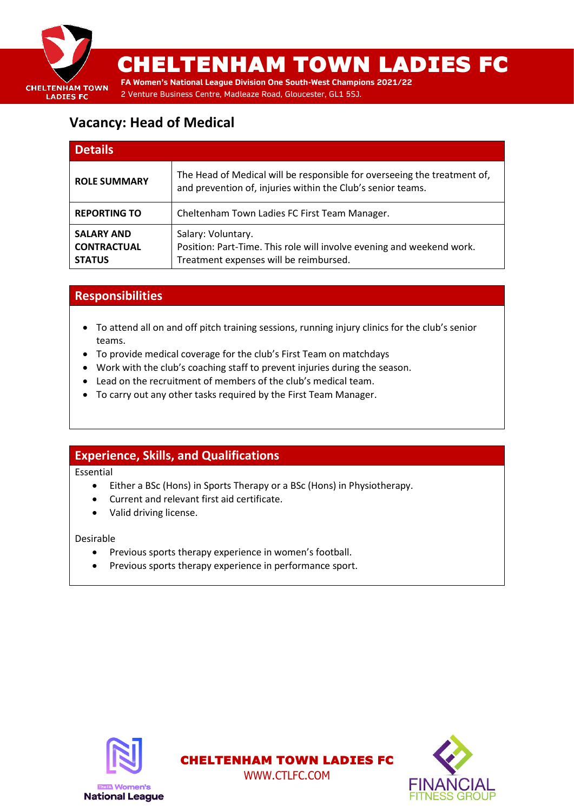

## **Vacancy: Head of Medical**

| <b>Details</b>                                           |                                                                                                                                         |
|----------------------------------------------------------|-----------------------------------------------------------------------------------------------------------------------------------------|
| <b>ROLE SUMMARY</b>                                      | The Head of Medical will be responsible for overseeing the treatment of,<br>and prevention of, injuries within the Club's senior teams. |
| <b>REPORTING TO</b>                                      | Cheltenham Town Ladies FC First Team Manager.                                                                                           |
| <b>SALARY AND</b><br><b>CONTRACTUAL</b><br><b>STATUS</b> | Salary: Voluntary.<br>Position: Part-Time. This role will involve evening and weekend work.<br>Treatment expenses will be reimbursed.   |

## **Responsibilities**

- To attend all on and off pitch training sessions, running injury clinics for the club's senior teams.
- To provide medical coverage for the club's First Team on matchdays
- Work with the club's coaching staff to prevent injuries during the season.
- Lead on the recruitment of members of the club's medical team.
- To carry out any other tasks required by the First Team Manager.

### **Experience, Skills, and Qualifications**

Essential

• Either a BSc (Hons) in Sports Therapy or a BSc (Hons) in Physiotherapy.

WWW.CTLFC.COM

- Current and relevant first aid certificate.
- Valid driving license.

Desirable

- Previous sports therapy experience in women's football.
- Previous sports therapy experience in performance sport.